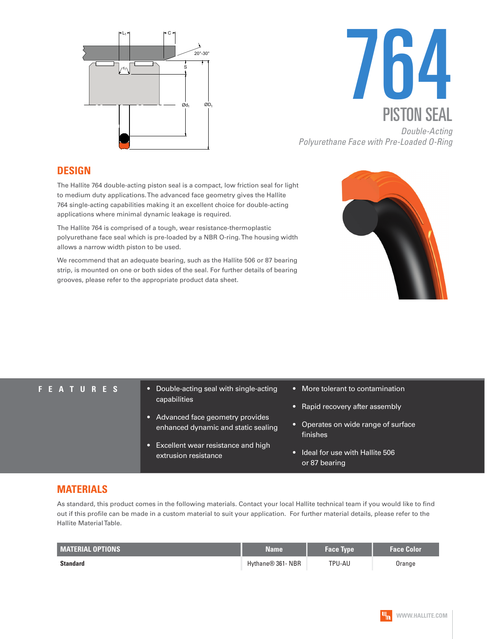



*Polyurethane Face with Pre-Loaded O-Ring*

#### **DESIGN**

The Hallite 764 double-acting piston seal is a compact, low friction seal for light to medium duty applications. The advanced face geometry gives the Hallite 764 single-acting capabilities making it an excellent choice for double-acting applications where minimal dynamic leakage is required.

The Hallite 764 is comprised of a tough, wear resistance-thermoplastic polyurethane face seal which is pre-loaded by a NBR O-ring. The housing width allows a narrow width piston to be used.

We recommend that an adequate bearing, such as the Hallite 506 or 87 bearing strip, is mounted on one or both sides of the seal. For further details of bearing grooves, please refer to the appropriate product data sheet.



- **FEATURES** Double-acting seal with single-acting capabilities
	- Advanced face geometry provides enhanced dynamic and static sealing
	- Excellent wear resistance and high extrusion resistance
- More tolerant to contamination
- Rapid recovery after assembly
- Operates on wide range of surface finishes
- Ideal for use with Hallite 506 or 87 bearing

### **MATERIALS**

As standard, this product comes in the following materials. Contact your local Hallite technical team if you would like to find out if this profile can be made in a custom material to suit your application. For further material details, please refer to the Hallite Material Table.

| <b>MATERIAL OPTIONS</b> | Name              | <b>Face Type</b> | <b>Face Color</b> |
|-------------------------|-------------------|------------------|-------------------|
| <b>Standard</b>         | Hythane® 361- NBR | TPU-AU           | Orange            |

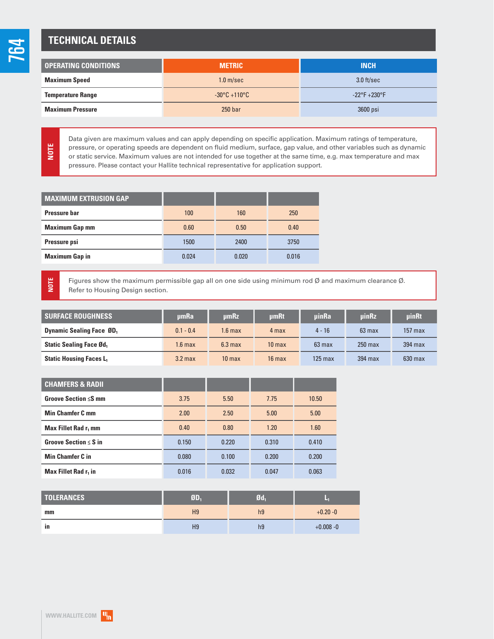**NOTE**

**NOTE**

# **TECHNICAL DETAILS**

| <b>OPERATING CONDITIONS</b> | <b>METRIC</b>                     | <b>INCH</b>                   |
|-----------------------------|-----------------------------------|-------------------------------|
| <b>Maximum Speed</b>        | 1.0 <sub>m/sec</sub>              | $3.0$ ft/sec                  |
| <b>Temperature Range</b>    | $-30^{\circ}$ C +110 $^{\circ}$ C | $-22^{\circ}F + 230^{\circ}F$ |
| <b>Maximum Pressure</b>     | 250 <sub>bar</sub>                | 3600 psi                      |

Data given are maximum values and can apply depending on specific application. Maximum ratings of temperature, pressure, or operating speeds are dependent on fluid medium, surface, gap value, and other variables such as dynamic or static service. Maximum values are not intended for use together at the same time, e.g. max temperature and max pressure. Please contact your Hallite technical representative for application support.

| <b>MAXIMUM EXTRUSION GAP</b> |       |       |       |
|------------------------------|-------|-------|-------|
| <b>Pressure bar</b>          | 100   | 160   | 250   |
| <b>Maximum Gap mm</b>        | 0.60  | 0.50  | 0.40  |
| Pressure psi                 | 1500  | 2400  | 3750  |
| <b>Maximum Gap in</b>        | 0.024 | 0.020 | 0.016 |

Figures show the maximum permissible gap all on one side using minimum rod Ø and maximum clearance Ø. Refer to Housing Design section.

| <b>SURFACE ROUGHNESS</b>                    | umRa               | umRz               | <b>umRt</b>       | uinRa     | <b>uinRz</b>     | uinRt     |
|---------------------------------------------|--------------------|--------------------|-------------------|-----------|------------------|-----------|
| <b>Dynamic Sealing Face ØD</b> <sub>1</sub> | $0.1 - 0.4$        | $1.6 \text{ max}$  | 4 max             | $4 - 16$  | $63 \text{ max}$ | $157$ max |
| <b>Static Sealing Face Ød.</b>              | 1.6 <sub>max</sub> | 6.3 <sub>max</sub> | 10 <sub>max</sub> | $63$ max  | $250$ max        | 394 max   |
| <b>Static Housing Faces L</b>               | $3.2$ max          | 10 <sub>max</sub>  | $16$ max          | $125$ max | 394 max          | $630$ max |

| <b>CHAMFERS &amp; RADII</b>      |       |       |       |       |
|----------------------------------|-------|-------|-------|-------|
| Groove Section $\leq$ S mm       | 3.75  | 5.50  | 7.75  | 10.50 |
| <b>Min Chamfer C mm</b>          | 2.00  | 2.50  | 5.00  | 5.00  |
| Max Fillet Rad r <sub>1</sub> mm | 0.40  | 0.80  | 1.20  | 1.60  |
| Groove Section $\leq$ S in       | 0.150 | 0.220 | 0.310 | 0.410 |
| <b>Min Chamfer C in</b>          | 0.080 | 0.100 | 0.200 | 0.200 |
| Max Fillet Rad r <sub>1</sub> in | 0.016 | 0.032 | 0.047 | 0.063 |

| <b>TOLERANCES</b> | $9D_1$         | $q_{\rm{d}}$   | ×            |  |
|-------------------|----------------|----------------|--------------|--|
| mm                | H <sub>9</sub> | h <sub>9</sub> | $+0.20 - 0$  |  |
| ın                | H9             | h9             | $+0.008 - 0$ |  |